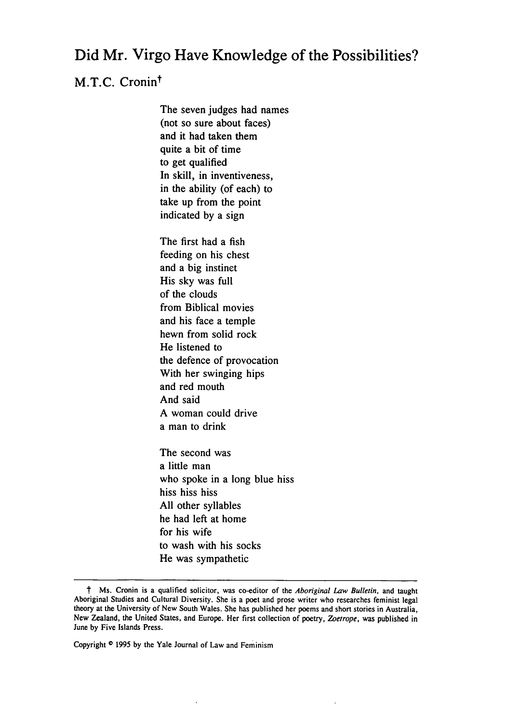## Did Mr. Virgo Have Knowledge of the Possibilities?

## M.T.C. Cronin<sup>†</sup>

The seven judges had names (not so sure about faces) and it had taken them quite a bit of time to get qualified In skill, in inventiveness, in the ability (of each) to take up from the point indicated by a sign

The first had a fish feeding on his chest and a big instinct His sky was full of the clouds from Biblical movies and his face a temple hewn from solid rock He listened to the defence of provocation With her swinging hips and red mouth And said A woman could drive a man to drink

The second was a little man who spoke in a long blue hiss hiss hiss hiss All other syllables he had left at home for his wife to wash with his socks He was sympathetic

Copyright **0** 1995 by the Yale Journal of Law and Feminism

t Ms. Cronin is a qualified solicitor, was co-editor of the *Aboriginal* Law Bulletin, and taught Aboriginal Studies and Cultural Diversity. She is a poet and prose writer who researches feminist legal theory at the University of New South Wales. She has published her poems and short stories in Australia, New Zealand, the United States, and Europe. Her first collection of poetry, *Zoetrope,* was published in June by Five Islands Press.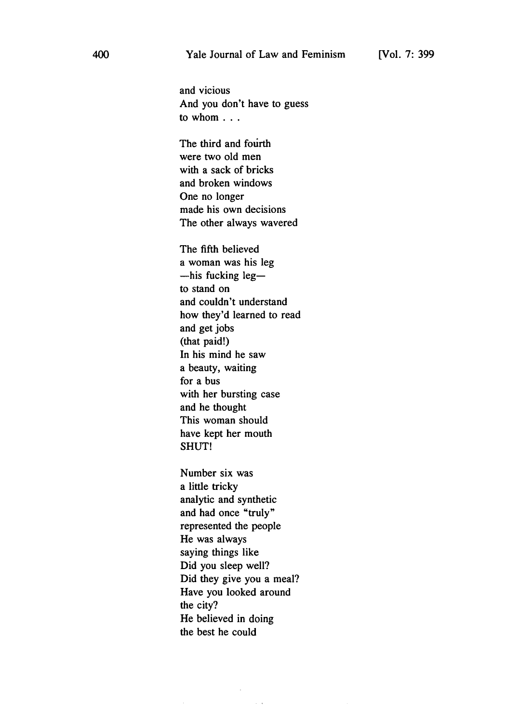and vicious And you don't have to guess to whom . . .

The third and fourth were two old men with a sack of bricks and broken windows One no longer made his own decisions The other always wavered

The fifth believed a woman was his leg  $-$ his fucking leg $$ to stand on and couldn't understand how they'd learned to read and get jobs (that paid!) In his mind he saw a beauty, waiting for a bus with her bursting case and he thought This woman should have kept her mouth SHUT!

Number six was a little tricky analytic and synthetic and had once "truly" represented the people He was always saying things like Did you sleep well? Did they give you a meal? Have you looked around the city? He believed in doing the best he could

 $\sim$   $\sim$